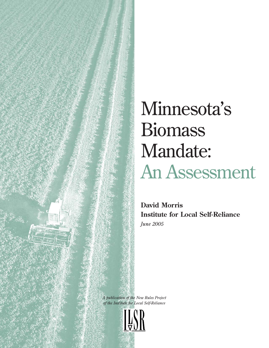# Minnesota's **Biomass** Mandate: An Assessment

**David Morris Institute for Local Self-Reliance** *June 2005*

*A publication of the New Rules Project of the Institute for Local Self-Reliance*

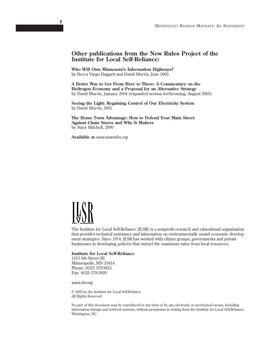## **Other publications from the New Rules Project of the Institute for Local Self-Reliance:**

**Who Will Own Minnesota's Information Highways?** by Becca Vargo Daggett and David Morris, June 2005

**A Better Way to Get From Here to There: A Commentary on the Hydrogen Economy and a Proposal for an Alternative Strategy** by David Morris, January 2004 (expanded version forthcoming, August 2005)

**Seeing the Light: Regaining Control of Our Electricity System** by David Morris, 2001

**The Home Town Advantage: How to Defend Your Main Street Against Chain Stores and Why It Matters** by Stacy Mitchell, 2000

**Available at** *www.newrules.org*



The Institute for Local Self-Reliance (ILSR) is a nonprofit research and educational organization that provides technical assistance and information on environmentally sound economic development strategies. Since 1974, ILSR has worked with citizen groups, governments and private businesses in developing policies that extract the maximum value from local resources.

#### **Institute for Local Self-Reliance**

1313 5th Street SE Minneapolis, MN 55414 Phone: (612) 379-3815 Fax: (612) 379-3920

*www.ilsr.org*

© 2005 by the Institute for Local Self-Reliance All Rights Reserved

No part of this document may be reproduced in any form or by any electronic or mechanical means, including information storage and retrieval systems, without permission in writing from the Institute for Local Self-Reliance, Washington, DC.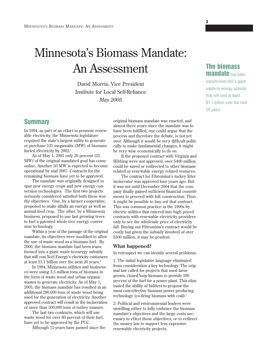## Minnesota's Biomass Mandate: An Assessment

David Morris, Vice President Institute for Local Self-Reliance *May 2005*

## **Summary**

In 1994, as part of an effort to promote renewable electricity, the Minnesota legislature required the state's largest utility to generate or purchase 125 megawatts (MW) of biomassfueled electricity by 2002.<sup>1</sup>

As of May 1, 2005 only 20 percent (25 MW) of the original mandated goal has come online. Another 50 MW is expected to become operational by mid 2007. Contracts for the remaining biomass have yet to be approved.

The mandate was originally designed to spur new energy crops and new energy conversion technologies. The first two projects seriously considered satisfied both these worthy objectives. One, by a farmer cooperative, proposed to make alfalfa an energy as well as animal feed crop. The other, by a Minnesota business, proposed to use fast growing trees to fuel a patented whole tree energy conversion technology.

Within a year of the passage of the original mandate, its objectives were modified to allow the use of waste wood as a biomass fuel. By 2000, the biomass mandate had been transformed into a giant waste-to-energy subsidy that will cost Xcel Energy's electricity customers at least \$1.1 billion over the next 20 years.<sup>2</sup>

In 1994, Minnesota utilities and businesses were using 3.5 million tons of biomass in the form of waste wood and urban organic wastes to generate electricity. As of May 1, 2005, the biomass mandate has resulted in an additional 280,000 tons of waste wood being used for the generation of electricity. Another approved contract will result in the incineration of more than 500,000 tons of turkey manure.

The last two contracts, which will use waste wood for over 80 percent of their fuel, have yet to be approved by the PUC.

Although 11 years have passed since the

original biomass mandate was enacted, and almost three years since the mandate was to have been fulfilled, one could argue that the process and therefore the debate, is not yet over. Although it would be very difficult politically to make fundamental changes, it might be very wise economically to do so.

If the proposed contract with Virginia and Hibbing were not approved, over \$400 million could be saved or redirected to other biomassrelated or renewable energy related ventures.

The contract for Fibrominn's turkey litter incinerator was approved four years ago. But it was not until December 2004 that the company finally gained sufficient financial commitments to proceed with full construction. Thus it might be possible to buy out that contract. This was common practice in the 1990s by electric utilities that entered into high priced contracts with renewable electricity providers only to see the wholesale price of electricity fall. Buying out Fibrominn's contract would be costly but given the subsidy involved of over \$500 million, it may be prudent.

#### **What happened?**

In retrospect we can identify several problems.

1. The initial legislative language eliminated from consideration a key technology. The original law called for projects that used farmgrown, closed loop biomass to provide 100 percent of the fuel for a power plant. This eliminated the ability of bidders to propose the most cost-effective biomass power producing technology (co-firing biomass with coal).3

2. Political and environmental leaders were unwilling either to fully embrace the biomass mandate's objectives and the large costs necessary to effect those objectives, or to redirect the money law to support less expensive renewable electricity projects.

**The biomass mandate** has been

**3**

transformed into a giant waste-to-energy subsidy that will cost at least \$1.1 billion over the next 20 years.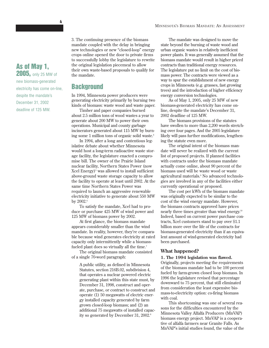3. The continuing presence of the biomass mandate coupled with the delay in bringing new technologies or new "closed-loop" energy crops online opened the door to private firms to successfully lobby the legislature to rewrite the original legislation piecemeal to allow their own waste-based proposals to qualify for the mandate.

## **Background**

In 1994, Minnesota power producers were generating electricity primarily by burning two kinds of biomass: waste wood and waste paper.

Timber and paper companies burned about 2.5 million tons of wood wastes a year to generate about 200 MW to power their own operations. Municipal and county garbage incinerators generated about 115 MW by burning some 1 million tons of organic solid waste.4

In 1994, after a long and contentious legislative debate about whether Minnesota would host a long-term radioactive waste storage facility, the legislature enacted a compromise bill. The owner of the Prairie Island nuclear facility, Northern States Power (now Xcel Energy)<sup>5</sup> was allowed to install sufficient above-ground waste storage capacity to allow the facility to operate at least until 2002. At the same time Northern States Power was required to launch an aggressive renewable electricity initiative to generate about 550 MW by  $2002$ .<sup>6</sup>

To satisfy the mandate, Xcel had to produce or purchase 425 MW of wind power and 125 MW of biomass power by 2002.

At first glance, the biomass mandate appears considerably smaller than the wind mandate. In reality, however, they're comparable because wind generates electricity at rated capacity only intermittently while a biomassfueled plant does so virtually all the time.<sup>7</sup>

The original biomass mandate consisted of a single 70-word paragraph:

A public utility, as defined in Minnesota Statutes, section 216B.02, subdivision 4, that operates a nuclear powered electric generating plant within this state must, by December 31, 1998, construct and operate, purchase, or contract to construct and operate (1) 50 megawatts of electric energy installed capacity generated by farm grown closed-loop biomass; and (2) an additional 75 megawatts of installed capacity so generated by December 31, 2002.<sup>8</sup>

The mandate was designed to move the state beyond the burning of waste wood and urban organic wastes in relatively inefficient power plants. It was generally assumed that the biomass mandate would result in higher priced contracts than traditional energy resources. The legislature put no limit on the cost of biomass power. The contracts were viewed as a way to spur the establishment of new energy crops in Minnesota (e.g. grasses, fast growing trees) and the introduction of higher efficiency energy conversion technologies.

As of May 1, 2005, only 25 MW of new biomass-generated electricity has come online, despite the mandate's December 31, 2002 deadline of 125 MW.

The biomass provisions of the statutes have swollen to more than 2,200 words stretching over four pages. And the 2005 legislature likely will pass further modifications, lengthening the statute even more.

The original intent of the biomass mandate will never be realized with the current list of proposed projects. If planned facilities with contracts under the biomass mandate actually come online, about 90 percent of the biomass used will be waste wood or waste agricultural materials.9 No advanced technologies are involved in any of the facilities either currently operational or proposed.

The cost per kWh of the biomass mandate was originally expected to be similar to the cost of the wind energy mandate. However, the biomass contracts approved have prices nearly three times greater than wind energy.10 Indeed, based on current power purchase contracts, Xcel customers stand to pay over \$1.1 billion more over the life of the contracts for biomass-generated electricity than if an equivalent amount of wind-generated electricity had been purchased.

#### **What happened?**

#### **1. The 1994 legislation was flawed.**

Originally, projects meeting the requirements of the biomass mandate had to be 100 percent fueled by farm-grown closed loop biomass. In 1996 the legislature revised that percentage downward to 75 percent, that still eliminated from consideration the least expensive biomass-to-electricity option: co-firing biomass with coal.

This shortcoming was one of several reasons for the difficulties encountered by the Minnesota Valley Alfalfa Producers (MnVAP) biomass energy project. MnVAP is a cooperative of alfalfa farmers near Granite Falls. As MnVAP's initial studies found, the value of the

**2005,** only 25 MW of new biomass-generated electricity has come on-line, despite the mandate's December 31, 2002 deadline of 125 MW.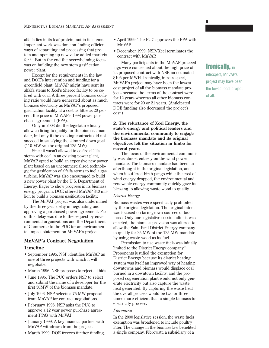alfalfa lies in its leaf protein, not in its stems. Important work was done on finding efficient ways of separating and processing that protein and opening up new value added markets for it. But in the end the overwhelming focus was on building the new stem gasification power plant.

Except for the requirements in the law and DOE's intervention and funding for a greenfield plant, MnVAP might have sent its alfalfa stems to Xcel's Sherco facility to be cofired with coal. A three percent biomass co-firing ratio would have generated about as much biomass electricity as MnVAP's proposed gasification facility at a cost as little as 20 percent the price of MnVAP's 1998 power purchase agreement (PPA).

Only in 2003 did the legislature finally allow co-firing to qualify for the biomass mandate, but only if the existing contracts did not succeed in satisfying the slimmed down goal (110 MW vs. the original 125 MW).

Since it wasn't allowed to co-fire alfalfa stems with coal in an existing power plant, MnVAP opted to build an expensive new power plant based on an uncommercialized technology, the gasification of alfalfa stems to fuel a gas turbine. MnVAP was also encouraged to build a new power plant by the U.S. Department of Energy. Eager to show progress in its biomass energy program, DOE offered MnVAP \$40 million to build a biomass gasification facility.

The MnVAP project was also undermined by the three year delay in negotiating and approving a purchased power agreement. Part of this delay was due to the request by environmental organizations and the Department of Commerce to the PUC for an environmental impact statement on MnVAP's project.

## **MnVAP's Contract Negotiation Timeline**

- September 1995. NSP identifies MnVAP as one of three projects with which it will negotiate.
- March 1996. NSP proposes to reject all bids.
- June 1996. The PUC orders NSP to select and submit the name of a developer for the first 50MW of the biomass mandate.
- July 1996. NSP selects a 75 MW proposal from MnVAP for contract negotiations.
- February 1998. NSP asks the PUC to approve a 12 year power purchase agreement(PPA) with MnVAP.
- January 1999. A key financial partner with MnVAP withdraws from the project.
- March 1999. DOE freezes further funding.
- April 1999. The PUC approves the PPA with MnVAP.
- December 1999. NSP/Xcel terminates the contract with MnVAP.

Many participants in the MnVAP proceedings were concerned about the high price of its proposed contract with NSP, an estimated \$105 per MWH. Ironically, in retrospect, MnVAP's project may have been the lowest cost project of all the biomass mandate projects because the terms of the contract were for 12 years whereas all other biomass contracts were for 20 or 21 years. (Anticipated DOE funding also decreased the project's cost.)

**2. The reluctance of Xcel Energy, the state's energy and political leaders and the environmental community to engage the biomass mandate and its original objectives left the situation in limbo for several years.**

The focus of the environmental community was almost entirely on the wind power mandate. The biomass mandate had been an afterthought in the original legislation, and when it suffered birth pangs while the cost of wind energy dropped, the environmental and renewable energy community quickly gave its blessing to allowing waste wood to qualify.

#### *District Energy*

Biomass wastes were specifically prohibited by the original legislation. The original intent was focused on farm-grown sources of biomass. Only one legislative session after it was enacted, the biomass provision was altered to allow the Saint Paul District Energy company to qualify for 25 MW of the 125 MW mandate by using waste wood as its fuel.

Permission to use waste fuels was initially limited to the District Energy company.<sup>11</sup> Proponents justified the exemption for District Energy because its district heating system was itself an improved way of heating downtowns and biomass would displace coal burned in a downtown facility, and the proposed cogeneration plant would not only generate electricity but also capture the waste heat generated. By capturing the waste heat the overall process would be two or three times more efficient than a simple biomass-toelectricity process.

#### *Fibrominn*

In the 2000 legislative session, the waste fuels exemption was broadened to include poultry litter. The change in the biomass law benefited a single company, Fibrowatt, a subsidiary of a

## **Ironically,** in

retrospect, MnVAP's project may have been the lowest cost project of all.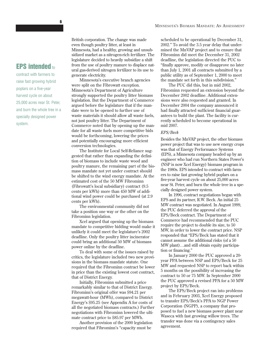## **EPS intended** to

contract with farmers to raise fast growing hybrid poplars on a five-year harvest cycle on about 25,000 acres near St. Peter, and burn the whole tree in a specially designed power system.

British corporation. The change was made even though poultry litter, at least in Minnesota, had a healthy, growing and unsubsidized market as a nitrogen-rich fertilizer. The legislature decided to heavily subsidize a shift from the use of poultry manure to displace natural gas-derived nitrogen fertilizer to its use to generate electricity.

Minnesota's executive branch agencies were split on the Fibrowatt exception. Minnesota's Department of Agriculture strongly supported the poultry litter biomass legislation. But the Department of Commerce argued before the legislature that if the mandate were to be opened to further use of waste materials it should allow all waste fuels, not just poultry litter. The Department of Commerce noted that by opening up the mandate for all waste fuels more competitive bids would be forthcoming, lowering the prices and potentially encouraging more efficient conversion technologies.

The Institute for Local Self-Reliance suggested that rather than expanding the definition of biomass to include waste wood and poultry manure, the remaining part of the biomass mandate not yet under contract should be shifted to the wind energy mandate. At the estimated cost of the 50 MW Fibrominn (Fibrowatt's local subsidiary) contract (9.5 cents per kWh) more than 450 MW of additional wind power could be purchased (at 2.9 cents per kWh).

The environmental community did not take a position one way or the other on the Fibrominn legislation.

Xcel argued that opening up the biomass mandate to competitive bidding would make it unlikely it could meet the legislature's 2002 deadline. Only the poultry litter incinerator could bring an additional 50 MW of biomass power online by the deadline.

To deal with some of the issues raised by critics, the legislature included two new provisions in the biomass mandate statute. One required that the Fibrominn contract be lower in price than the existing lowest cost contract, that of District Energy.

Initially, Fibrominn submitted a price remarkably similar to that of District Energy. Fibrominn's original offer was \$94.21 per megawatt-hour (MWh), compared to District Energy's \$95.25 (see Appendix A for costs of all the negotiated biomass contracts.) Further negotiations with Fibrominn lowered the ultimate contract price to \$85.97 per MWh.

Another provision of the 2000 legislation required that Fibrominn's "capacity must be

scheduled to be operational by December 31, 2002." To avoid the 3.5 year delay that undermined the MnVAP project and to ensure that Fibrominn did meet the December 31, 2002 deadline, the legislation directed the PUC to "finally approve, modify or disapprove no later than July 1, 2001 all contracts submitted by a public utility as of September 1, 2000 to meet the mandate set forth in this subdivision."

The PUC did this, but in mid 2002, Fibrominn requested an extension beyond the December 2002 deadline. Additional extensions were also requested and granted. In December 2004 the company announced it had finally attracted sufficient financial guarantees to build the plant. The facility is currently scheduled to become operational in mid 2007.

#### *EPS/Beck*

Besides the MnVAP project, the other biomass power project that was to use new energy crops was that of Energy Performance Systems (EPS), a Minnesota company headed up by an engineer who had run Northern States Power's (NSP is now Xcel Energy) biomass program in the 1980s. EPS intended to contract with farmers to raise fast growing hybrid poplars on a five-year harvest cycle on about 25,000 acres near St. Peter, and burn the whole tree in a specially designed power system.

In 1996, contract negotiations began with EPS and its partner, R.W. Beck. An initial 25 MW contract was negotiated. In August 1999, the PUC deferred the approval of the EPS/Beck contract. The Department of Commerce had recommended that the PUC require the project to double its size, to 50 MW, in order to lower the contract price. NSP responded that "EPS/Beck has stated that it cannot assume the additional risks (of a 50 MW plant)…and still obtain equity participation or financing."

In January 2000 the PUC approved a 20 year PPA between NSP and EPS/Beck for 25 MW and requested NSP to report back within 5 months on the possibility of increasing the contract to 50 or 75 MW. In September 2000 the PUC approved a revised PPA for a 50 MW project by EPS/Beck.

The EPS/Beck project ran into problems and in February 2003, Xcel Energy proposed to transfer EPS/Beck's PPA to NGP Power Corporation (NGPP), a company that proposed to fuel a new biomass power plant near Waseca with fast growing willow trees. The transfer was done via a contingency sales agreement.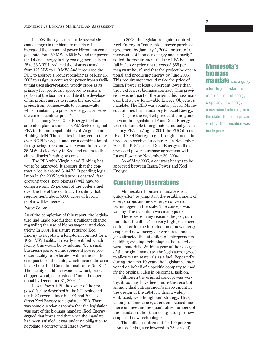In 2003, the legislature made several significant changes in the biomass mandate. It increased the amount of power Fibrominn could generate, from 50 MW to 55 MW and the power the District energy facility could generate, from 25 to 33 MW. It reduced the biomass mandate from 125 MW to 110 MW. And it required the PUC to approve a request pending as of May 15, 2003 to assign "a contract for power from a facility that uses short-rotation, woody crops as its primary fuel previously approved to satisfy a portion of the biomass mandate if the developer of the project agrees to reduce the size of its project from 50 megawatts to 35 megawatts while maintaining a price for energy at or below the current contract price."

In January 2004, Xcel Energy filed an amended plan to transfer EPS/Beck's original PPA to the municipal utilities of Virginia and Hibbing, MN. These cities had agreed to take over NGPP's project and use a combination of fast growing trees and waste wood to provide 35 MW of electricity to Xcel and steam to the cities' district heating systems.

The PPA with Virginia and Hibbing has yet to be approved. It appears that the contract price is around \$104.75. If pending legislation in the 2005 legislature is enacted, fast growing trees (new biomass) will have to comprise only 25 percent of the boiler's fuel over the life of the contract. To satisfy that requirement, about 5,000 acres of hybrid poplar will be needed.

#### *Itasca Power*

As of the completion of this report, the legislature had made one further significant change regarding the use of biomass-generated electricity. In 2001, legislature required Xcel Energy to negotiate a long-term contract for a 10-20 MW facility. It clearly identified which facility this would be by adding, "by a small business-sponsored independent power producer facility to be located within the northern quarter of the state, which means the area located north of Constitutional route No. 8…" The facility could use wood, sawdust, bark, chipped wood, or brush and "must be operational by December 31, 2002".<sup>12</sup>

Itasca Power (IP), the owner of the proposed facility described in the bill, petitioned the PUC several times in 2001 and 2002 to direct Xcel Energy to negotiate a PPA. There was some question as to whether the legislation was part of the biomass mandate. Xcel Energy argued that it was and that since the mandate had been satisfied, it was under no obligation to negotiate a contract with Itasca Power.

In 2003, the legislature again required Xcel Energy to "enter into a power purchase agreement by January 1, 2004, for ten to 20 megawatts of biomass energy and capacity". It added the requirement that the PPA be at an "all-inclusive price not to exceed \$55 per megawatt hour" and that the project be operational and producing energy by June 2005. This requirement would make the price of Itasca Power at least 40 percent lower than the next lowest biomass contract. This provision was not part of the original biomass mandate but a new Renewable Energy Objectives mandate. The REO was voluntary for all Minnesota utilities but mandatory for Xcel Energy.

Despite the explicit price and time guidelines in the legislation, IP and Xcel Energy were still unable to negotiate a mutually satisfactory PPA. In August 2004 the PUC directed IP and Xcel Energy to go through a mediation process to work out a contract. In November 2004 the PUC ordered Xcel Energy to file a proposed power purchase agreement with Itasca Power by November 30, 2004.

As of May 2005, a contract has yet to be approved between Itasca Power and Xcel Energy.

## **Concluding Observations**

Minnesota's biomass mandate was a gutsy effort to jump-start the establishment of energy crops and new energy conversion technologies in the state. The concept was worthy. The execution was inadequate.

There were many reasons the program ran into difficulties. The very high price needed to allow for the introduction of new energy crops and new energy conversion technologies attracted that attention of entrepreneurs peddling existing technologies that relied on waste materials. Within a year of the passage of the original mandate, the legislature agreed to allow waste materials as a fuel. Repeatedly during the next 10 years the legislature intervened on behalf of a specific company to modify the original rules in piecemeal fashion.

Although the original concept was worthy, it too may have been more the result of an individual entrepreneur's involvement in the design of the 1994 law than a widely embraced, well-thought-out strategy. Thus, when problems arose, attention focused much more on meeting the quantitative numbers of the mandate rather than using it to spur new crops and new technologies.

The initial requirement for 100 percent biomass fuels (later lowered to 75 percent)

## **Minnesota's biomass mandate** was a gutsy

effort to jump-start the establishment of energy crops and new energy conversion technologies in the state. The concept was worthy. The execution was inadequate.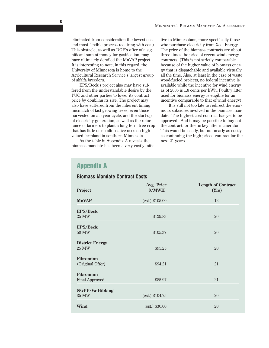eliminated from consideration the lowest cost and most flexible process (co-firing with coal). This obstacle, as well as DOE's offer of a significant sum of money for gasification, may have ultimately derailed the MnVAP project. It is interesting to note, in this regard, the University of Minnesota is home to the Agricultural Research Service's largest group of alfalfa breeders.

EPS/Beck's project also may have suffered from the understandable desire by the PUC and other parties to lower its contract price by doubling its size. The project may also have suffered from the inherent timing mismatch of fast growing trees, even those harvested on a 5 year cycle, and the start-up of electricity generation, as well as the reluctance of farmers to plant a long term tree crop that has little or no alternative uses on highvalued farmland in southern Minnesota.

As the table in Appendix A reveals, the biomass mandate has been a very costly initiative to Minnesotans, more specifically those who purchase electricity from Xcel Energy. The price of the biomass contracts are about three times the price of recent wind energy contracts. (This is not strictly comparable because of the higher value of biomass energy that is dispatchable and available virtually all the time. Also, at least in the case of waste wood-fueled projects, no federal incentive is available while the incentive for wind energy as of 2005 is 1.8 cents per kWh. Poultry litter used for biomass energy is eligible for an incentive comparable to that of wind energy).

It is still not too late to redirect the enormous subsidies involved in the biomass mandate. The highest cost contract has yet to be approved. And it may be possible to buy out the contract for the turkey litter incinerator. This would be costly, but not nearly as costly as continuing the high priced contract for the next 21 years.

## **Appendix A**

| Project                                   | Avg. Price<br><b>\$/MWH</b> | <b>Length of Contract</b><br>(Yrs) |
|-------------------------------------------|-----------------------------|------------------------------------|
| <b>MnVAP</b>                              | (est.) \$105.00             | 12                                 |
| <b>EPS/Beck</b><br>25 MW                  | \$129.83                    | 20                                 |
| <b>EPS/Beck</b><br>50 MW                  | \$105.37                    | 20                                 |
| <b>District Energy</b><br><b>25 MW</b>    | \$95.25                     | 20                                 |
| <b>Fibrominn</b><br>(Original Offer)      | \$94.21                     | 21                                 |
| <b>Fibrominn</b><br><b>Final Approved</b> | \$85.97                     | 21                                 |
| NGPP/Va-Hibbing<br>35 MW                  | (est.) \$104.75             | 20                                 |
| <b>Wind</b>                               | $(est.)$ \$30.00            | 20                                 |

## **Biomass Mandate Contract Costs**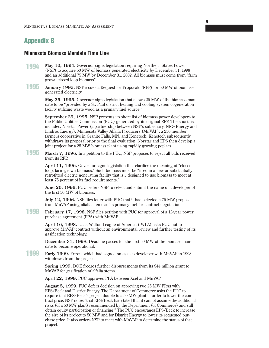## **Appendix B**

## **Minnesota Biomass Mandate Time Line**

- **May 10, 1994.** Governor signs legislation requiring Northern States Power (NSP) to acquire 50 MW of biomass generated electricity by December 31, 1998 and an additional 75 MW by December 31, 2002. All biomass must come from "farm grown closed-loop biomass". **1994**
- **January 1995.** NSP issues a Request for Proposals (RFP) for 50 MW of biomassgenerated electricity. **1995**

**May 25, 1995.** Governor signs legislation that allows 25 MW of the biomass mandate to be "provided by a St. Paul district heating and cooling system cogeneration facility utilizing waste wood as a primary fuel source."

**9**

**September 29, 1995.** NSP presents its short list of biomass power developers to the Public Utilities Commission (PUC) generated by its original RFP. The short list includes: Norstar Power (a partnership between NSP's subsidiary, NRG Energy and Lindroc Energy), Minnesota Valley Alfalfa Producers (MnVAP), a 250 member farmers cooperative in Granite Falls, MN, and Kenetech. Kenetech subsequently withdraws its proposal prior to the final evaluation. Norstar and EPS then develop a joint project for a 25 MW biomass plant using rapidly growing poplars.

**March 7, 1996.** In a petition to the PUC, NSP proposes to reject all bids received from its RFP. **1996**

> **April 11, 1996.** Governor signs legislation that clarifies the meaning of "closed loop, farm-grown biomass." Such biomass must be "fired in a new or substantially retrofitted electric generating facility that is…designed to use biomass to meet at least 75 percent of its fuel requirements."

**June 20, 1996.** PUC orders NSP to select and submit the name of a developer of the first 50 MW of biomass.

**July 12, 1996.** NSP files letter with PUC that it had selected a 75 MW proposal from MnVAP using alfalfa stems as its primary fuel for contract negotiations.

**February 17, 1998.** NSP files petition with PUC for approval of a 12-year power purchase agreement (PPA) with MnVAP. **1998**

> **April 16, 1998.** Izaak Walton League of America (IWLA) asks PUC not to approve MnVAP contract without an environmental review and further testing of its gasification technology.

**December 31, 1998.** Deadline passes for the first 50 MW of the biomass mandate to become operational.

**Early 1999.** Enron, which had signed on as a co-developer with MnVAP in 1998, withdraws from the project. **1999**

> **Spring 1999.** DOE freezes further disbursements from its \$44 million grant to MnVAP for gasification of alfalfa stems.

**April 22, 1999.** PUC approves PPA between Xcel and MnVAP

**August 5, 1999.** PUC defers decision on approving two 25 MW PPAs with EPS/Beck and District Energy. The Department of Commerce asks the PUC to require that EPS/Beck's project double to a 50 MW plant in order to lower the contract price. NSP notes "that EPS/Beck has stated that it cannot assume the additional risks (of a 50 MW plant) recommended by the Department (of Commerce) and still obtain equity participation or financing." The PUC encourages EPS/Beck to increase the size of its project to 50 MW and for District Energy to lower its requested purchase price. It also orders NSP to meet with MnVAP to determine the status of that project.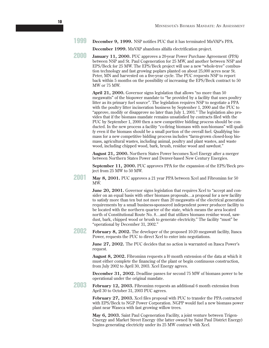**December 9, 1999.** NSP notifies PUC that it has terminated MnVAP's PPA. **1999**

**December 1999.** MnVAP abandons alfalfa electrification project.

**January 11, 2000.** PUC approves a 20-year Power Purchase Agreement (PPA) between NSP and St. Paul Cogeneration for 25 MW, and another between NSP and EPS/Beck for 25 MW. The EPS/Beck project will use a new "whole-tree" combustion technology and fast growing poplars planted on about 25,000 acres near St. Peter, MN and harvested on a five-year cycle. The PUC requests NSP to report back within 5 months on the possibility of increasing the EPS/Beck contract to 50 MW or 75 MW. **2000**

> **April 21, 2000.** Governor signs legislation that allows "no more than 50 megawatts" of the biopower mandate to "be provided by a facility that uses poultry litter as its primary fuel source". The legislation requires NSP to negotiate a PPA with the poultry litter incineration business by September 1, 2000 and the PUC to "approve, modify or disapprove no later than July 1, 2001." The legislation also provides that if the biomass mandate remains unsatisfied by contracts filed with the PUC by September 1, 2000 then a new competitive bidding process should be conducted. In the new process a facility "co-firing biomass with non-biomass" will qualify even if the biomass should be a small portion of the overall fuel. Qualifying biomass for a new competitive bidding process includes "farm-grown closed-loop biomass, agricultural wastes, including animal, poultry and plant wastes, and waste wood, including chipped wood, bark, brush, residue wood and sawdust."

**August 21, 2000.** Northern States Power becomes Xcel Energy after a merger between Northern States Power and Denver-based New Century Energies.

**September 11, 2000.** PUC approves PPA for the expansion of the EPS/Beck project from 25 MW to 50 MW.

**May 8, 2001.** PUC approves a 21 year PPA between Xcel and Fibrominn for 50 MW. **2001**

> **June 20, 2001.** Governor signs legislation that requires Xcel to "accept and consider on an equal basis with other biomass proposals…a proposal for a new facility to satisfy more than ten but not more than 20 megawatts of the electrical generation requirements by a small business-sponsored independent power producer facility to be located with the northern quarter of the state, which means the area located north of Constitutional Route No. 8…and that utilizes biomass residue wood, sawdust, bark, chipped wood or brush to generate electricity." The facility "must" be "operational by December 31, 2002."

**February 8, 2002.** The developer of the proposed 10-20 megawatt facility, Itasca Power, requests the PUC to direct Xcel to enter into negotiations. **2002**

> **June 27, 2002.** The PUC decides that no action is warranted on Itasca Power's request.

**August 8, 2002.** Fibrominn requests a l0 month extension of the data at which it must either complete the financing of the plant or begin continuous construction, from July 2002 to April 30, 2003. Xcel Energy agrees.

**December 31, 2002.** Deadline passes for second 75 MW of biomass power to be operational under the original mandate.

**February 12, 2003.** Fibrominn requests an additional 6 month extension from April 30 to October 31, 2003 PUC agrees. **2003**

> **February 27, 2003.** Xcel files proposal with PUC to transfer the PPA contracted with EPS/Beck to NGP Power Corporation. NGPP would fuel a new biomass power plant near Waseca with fast growing willow trees.

> **May 6, 2003.** Saint Paul Cogeneration Facility, a joint venture between Trigen-Cinergy and Market Street Energy (the latter owned by Saint Paul District Energy) begins generating electricity under its 25 MW contract with Xcel.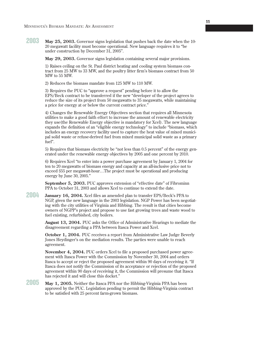**May 25, 2003.** Governor signs legislation that pushes back the date when the 10- 20 megawatt facility must become operational. New language requires it to "be under construction by December 31, 2005". **2003**

**May 29, 2003.** Governor signs legislation containing several major provisions.

1) Raises ceiling on the St. Paul district heating and cooling system biomass contract from 25 MW to 33 MW, and the poultry litter firm's biomass contract from 50 MW to 55 MW.

2) Reduces the biomass mandate from 125 MW to 110 MW.

3) Requires the PUC to "approve a request" pending before it to allow the EPS/Beck contract to be transferred if the new "developer of the project agrees to reduce the size of its project from 50 megawatts to 35 megawatts, while maintaining a price for energy at or below the current contract price."

4) Changes the Renewable Energy Objectives section that requires all Minnesota utilities to make a good faith effort to increase the amount of renewable electricity they use(the Renewable Energy objective is mandatory for Xcel). The new language expands the definition of an "eligible energy technology" to include "biomass, which includes an energy recovery facility used to capture the heat value of mixed municipal solid waste or refuse-derived fuel from mixed municipal solid waste as a primary fuel".

5) Requires that biomass electricity be "not less than 0.5 percent" of the energy generated under the renewable energy objectives by 2005 and one percent by 2010.

6) Requires Xcel "to enter into a power purchase agreement by January 1, 2004 for ten to 20 megawatts of biomass energy and capacity at an all-inclusive price not to exceed \$55 per megawatt-hour…The project must be operational and producing energy by June 30, 2005."

**September 5, 2003.** PUC approves extension of "effective date" of Fibrominn PPA to October 31, 2003 and allows Xcel to continue to extend the date.

**January 16, 2004.** Xcel files an amended plan to transfer EPS/Beck's PPA to NGP, given the new language in the 2003 legislation. NGP Power has been negotiating with the city utilities of Virginia and Hibbing. The result is that cities become owners of NGPP's project and propose to use fast growing trees and waste wood to fuel existing, refurbished, city boilers. **2004**

> **August 13, 2004.** PUC asks the Office of Administrative Hearings to mediate the disagreement regarding a PPA between Itasca Power and Xcel.

> **October 1, 2004.** PUC receives a report from Administrative Law Judge Beverly Jones Heydinger's on the mediation results. The parties were unable to reach agreement.

> **November 4, 2004.** PUC orders Xcel to file a proposed purchased power agreement with Itasca Power with the Commission by November 30, 2004 and orders Itasca to accept or reject the proposed agreement within 90 days of receiving it. "If Itasca does not notify the Commission of its acceptance or rejection of the proposed agreement within 90 days of receiving it, the Commission will presume that Itasca has rejected it and will close this docket."

**May 1, 2005.** Neither the Itasca PPA nor the Hibbing-Virginia PPA has been approved by the PUC. Legislation pending to permit the Hibbing-Virginia contract to be satisfied with 25 percent farm-grown biomass. **2005**